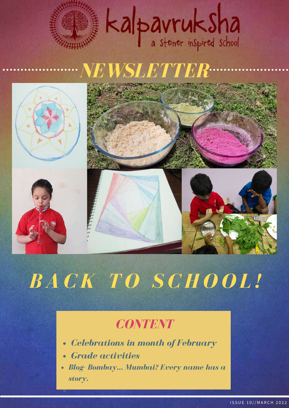# Kalpavruksha

## *NEWSLETTER*





## *B A C K T O S C H O O L !*

## *CONTENT*

- *Celebrations in month of February*  $\bullet$
- *Grade activities*
- *Blog- Bombay… Mumbai? Every name has a story.*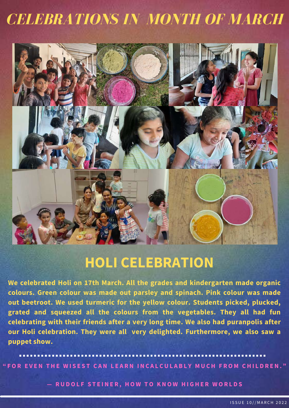## *CELEBRATIONS IN MONTH OF MARCH*



### **HOLI CELEBRATION**

**We celebrated Holi on 17th March. All the grades and kindergarten made organic colours. Green colour was made out parsley and spinach. Pink colour was made out beetroot. We used turmeric for the yellow colour. Students picked, plucked, grated and squeezed all the colours from the vegetables. They all had fun celebrating with their friends after a very long time. We also had puranpolis after our Holi celebration. They were all very delighted. Furthermore, we also saw a puppet show.**

"FOR EVEN THE WISEST CAN LEARN INCALCULABLY MUCH FROM CHILDREN."

- RUDOLF STEINER, HOW TO KNOW HIGHER WORLDS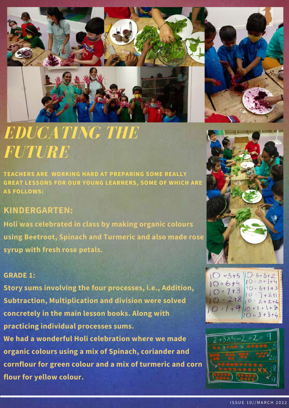

## *EDUCATING THE FUTURE*

**TEACHERS ARE WORKING HARD AT PREPARING SOME REALLY GREAT LESSONS FOR OUR YOUNG LEARNERS, SOME OF WHICH ARE AS FOLLOWS:**

#### **KINDERGARTEN:**

**Holi was celebrated in class by making organic colours using Beetroot, Spinach and Turmeric and also made rose syrup with fresh rose petals.**

#### **GRADE 1:**

**Story sums involving the four processes, i.e., Addition, Subtraction, Multiplication and division were solved concretely in the main lesson books. Along with practicing individual processes sums. We had a wonderful Holi celebration where we made organic colours using a mix of Spinach, coriander and cornflour for green colour and a mix of turmeric and corn flour for yellow colour.**





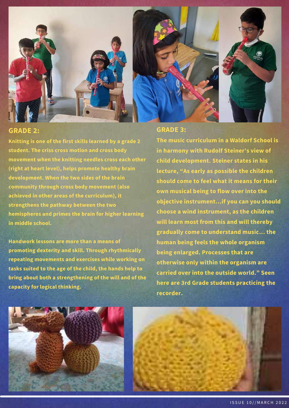

#### **GRADE 2:**

**Knitting is one of the first skills learned by a grade 2 student. The criss cross motion and cross body movement when the knitting needles cross each other (right at heart level), helps promote healthy brain development. When the two sides of the brain community through cross body movement (also achieved in other areas of the curriculum), it strengthens the pathway between the two hemispheres and primes the brain for higher learning in middle school.**

**Handwork lessons are more than a means of promoting dexterity and skill. Through rhythmically repeating movements and exercises while working on tasks suited to the age of the child, the hands help to bring about both a strengthening of the will and of the capacity for logical thinking.**

#### **GRADE 3:**

**The music curriculum in a Waldorf School is in harmony with Rudolf Steiner's view of child development. Steiner states in his lecture, "As early as possible the children should come to feel what it means for their own musical being to flow over into the objective instrument…if you can you should choose a wind instrument, as the children will learn most from this and will thereby gradually come to understand music… the human being feels the whole organism being enlarged. Processes that are otherwise only within the organism are carried over into the outside world." Seen here are 3rd Grade students practicing the recorder.**



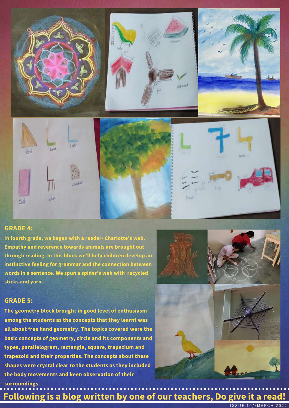

#### **GRADE 4:**

600

**In fourth grade, we began with a reader- Charlotte's web. Empathy and reverence towards animals are brought out through reading. In this block we'll help children develop an instinctive feeling for grammar and the connection between words in a sentence. We spun a spider's web with recycled sticks and yarn.**

phan



#### **GRADE 5:**

**The geometry block brought in good level of enthusiasm among the students as the concepts that they learnt was all about free hand geometry. The topics covered were the basic concepts of geometry, circle and its components and types, parallelogram, rectangle, square, trapezium and trapezoid and their properties. The concepts about these shapes were crystal clear to the students as they included the body movements and keen observation of their surroundings.**





**Following is a blog written by one of our teachers, Do give it a read!**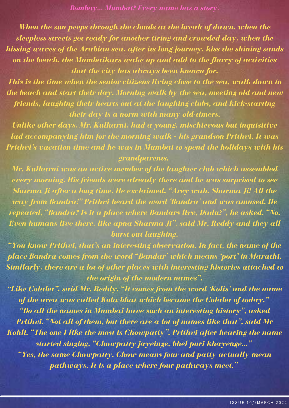*Bombay… Mumbai? Every name has a story.*

*When the sun peeps through the clouds at the break of dawn, when the sleepless streets get ready for another tiring and crowded day, when the hissing waves of the Arabian sea, after its long journey, kiss the shining sands on the beach, the Mumbaikars wake up and add to the flurry of activities that the city has always been known for.*

*This is the time when the senior citizens living close to the sea, walk down to the beach and start their day. Morning walk by the sea, meeting old and new friends, laughing their hearts out at the laughing clubs, and kick-starting their day is a norm with many old-timers.*

*Unlike other days, Mr. Kulkarni, had a young, mischievous but inquisitive lad accompanying him for the morning walk – his grandson Prithvi. It was Prithvi's vacation time and he was in Mumbai to spend the holidays with his grandparents.*

*Mr. Kulkarni was an active member of the laughter club which assembled every morning. His friends were already there and he was surprised to see Sharma Ji after a long time. He exclaimed, "Arey wah. Sharma Ji! All the way from Bandra!" Prithvi heard the word 'Bandra' and was amused. He repeated, "Bandra? Is it a place where Bandars live, Dadu?", he asked. "No. Even humans live there, like apna Sharma Ji", said Mr. Reddy and they all burst out laughing.*

*"You know Prithvi, that's an interesting observation. In fact, the name of the place Bandra comes from the word "Bandar' which means 'port' in Marathi. Similarly, there are a lot of other places with interesting histories attached to the origin of the modern names".*

*"Like Colaba", said Mr. Reddy. "It comes from the word 'Kolis' and the name of the area was called Kola-bhat which became the Colaba of today." "Do all the names in Mumbai have such an interesting history", asked Prithvi. "Not all of them, but there are a lot of names like that", said Mr Kohli. "The one I like the most is Chowpatty". Prithvi after hearing the name started singing, "Chowpatty jayeinge, bhel puri khayenge…" "Yes, the same Chowpatty. Chow means four and patty actually mean pathways. It is a place where four pathways meet."*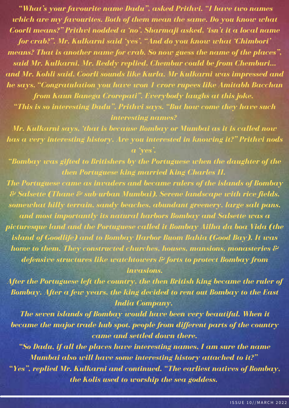*"What's your favourite name Dadu", asked Prithvi. "I have two names which are my favourites. Both of them mean the same. Do you know what Coorli means?" Prithvi nodded a 'no'. Sharmaji asked, 'isn't it a local name for crab?". Mr. Kulkarni said ' yes'. "And do you know what 'Chimbori' means? That is another name for crab. So now guess the name of the places", said Mr. Kulkarni. Mr. Reddy replied, Chembur could be from Chemburi… and Mr. Kohli said, Coorli sounds like Kurla. Mr Kulkarni was impressed and he says, "Congratulation you have won 1 crore rupees like Amitabh Bacchan from Kaun Banega Crorepati". Everybody laughs at this joke.*

*"This is so interesting Dadu", Prithvi says. "But how come they have such interesting names?*

*Mr. Kulkarni says, 'that is because Bombay or Mumbai as it is called now has a very interesting history. Are you interested in knowing it?" Prithvi nods a ' yes'.*

*"Bombay was gifted to Britishers by the Portuguese when the daughter of the then Portuguese king married King Charles II.*

*The Portuguese came as invaders and became rulers of the islands of Bombay & Salsette (Thane & sub-urban Mumbai). Serene landscape with rice fields, somewhat hilly terrain, sandy beaches, abundant greenery, large salt pans, and most importantly its natural harbors Bombay and Salsette was a picturesque land and the Portuguese called it Bombay Ailha da boa Vida (the island of Goodlife) and to Bombay Harbor Buom Bahia (Good Bay). It was home to them. They constructed churches, houses, mansions, monasteries & defensive structures like watchtowers & forts to protect Bombay from invasions.*

*After the Portuguese left the country, the then British king became the ruler of Bombay. After a few years, the king decided to rent out Bombay to the East India Company.*

*The seven islands of Bombay would have been very beautiful. When it became the major trade hub spot, people from dif erent parts of the country came and settled down there.*

*"So Dadu, if all the places have interesting names, I am sure the name Mumbai also will have some interesting history attached to it?" "Yes", replied Mr. Kulkarni and continued. "The earliest natives of Bombay, the Kolis used to worship the sea goddess.*